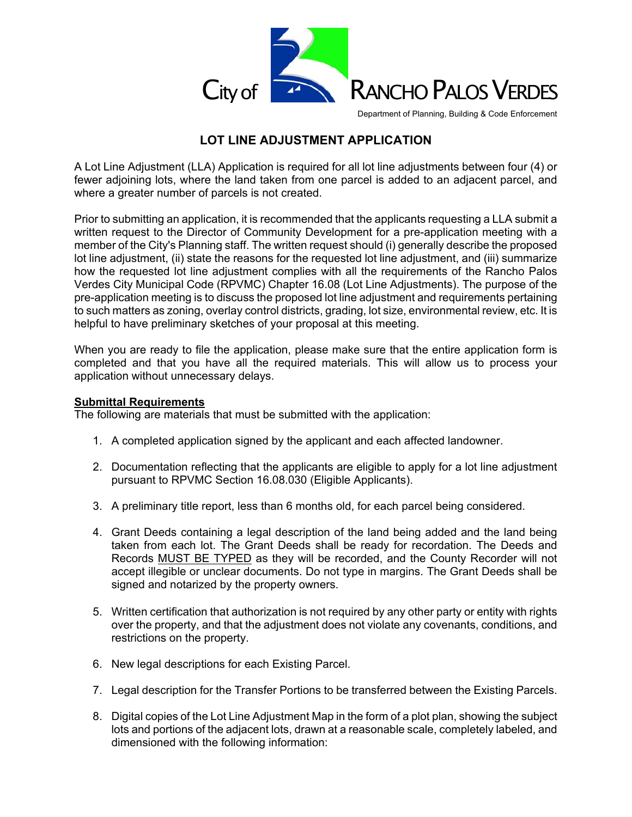

Department of Planning, Building & Code Enforcement

# **LOT LINE ADJUSTMENT APPLICATION**

A Lot Line Adjustment (LLA) Application is required for all lot line adjustments between four (4) or fewer adjoining lots, where the land taken from one parcel is added to an adjacent parcel, and where a greater number of parcels is not created.

Prior to submitting an application, it is recommended that the applicants requesting a LLA submit a written request to the Director of Community Development for a pre-application meeting with a member of the City's Planning staff. The written request should (i) generally describe the proposed lot line adjustment, (ii) state the reasons for the requested lot line adjustment, and (iii) summarize how the requested lot line adjustment complies with all the requirements of the Rancho Palos Verdes City Municipal Code (RPVMC) Chapter 16.08 (Lot Line Adjustments). The purpose of the pre-application meeting is to discuss the proposed lot line adjustment and requirements pertaining to such matters as zoning, overlay control districts, grading, lot size, environmental review, etc. It is helpful to have preliminary sketches of your proposal at this meeting.

When you are ready to file the application, please make sure that the entire application form is completed and that you have all the required materials. This will allow us to process your application without unnecessary delays.

### **Submittal Requirements**

The following are materials that must be submitted with the application:

- 1. A completed application signed by the applicant and each affected landowner.
- 2. Documentation reflecting that the applicants are eligible to apply for a lot line adjustment pursuant to RPVMC Section 16.08.030 (Eligible Applicants).
- 3. A preliminary title report, less than 6 months old, for each parcel being considered.
- 4. Grant Deeds containing a legal description of the land being added and the land being taken from each lot. The Grant Deeds shall be ready for recordation. The Deeds and Records MUST BE TYPED as they will be recorded, and the County Recorder will not accept illegible or unclear documents. Do not type in margins. The Grant Deeds shall be signed and notarized by the property owners.
- 5. Written certification that authorization is not required by any other party or entity with rights over the property, and that the adjustment does not violate any covenants, conditions, and restrictions on the property.
- 6. New legal descriptions for each Existing Parcel.
- 7. Legal description for the Transfer Portions to be transferred between the Existing Parcels.
- 8. Digital copies of the Lot Line Adjustment Map in the form of a plot plan, showing the subject lots and portions of the adjacent lots, drawn at a reasonable scale, completely labeled, and dimensioned with the following information: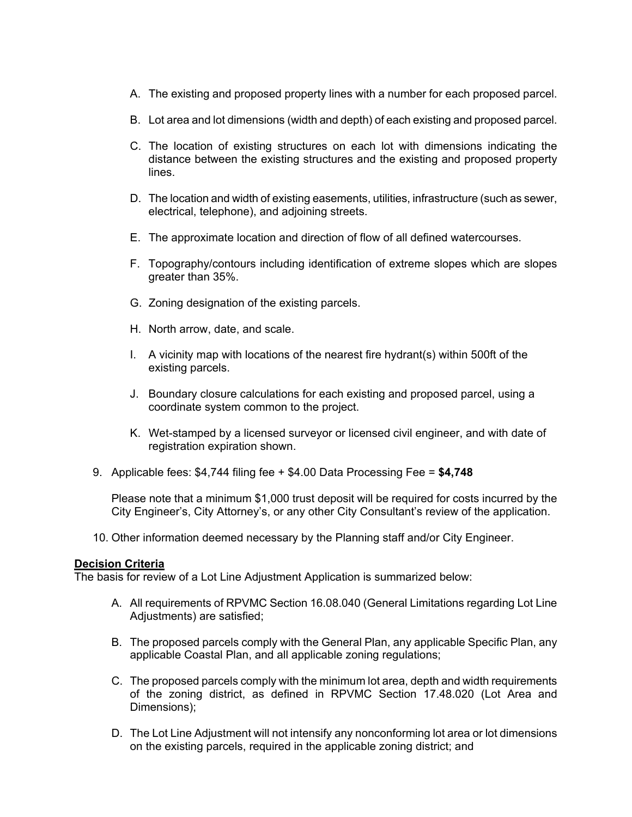- A. The existing and proposed property lines with a number for each proposed parcel.
- B. Lot area and lot dimensions (width and depth) of each existing and proposed parcel.
- C. The location of existing structures on each lot with dimensions indicating the distance between the existing structures and the existing and proposed property lines.
- D. The location and width of existing easements, utilities, infrastructure (such as sewer, electrical, telephone), and adjoining streets.
- E. The approximate location and direction of flow of all defined watercourses.
- F. Topography/contours including identification of extreme slopes which are slopes greater than 35%.
- G. Zoning designation of the existing parcels.
- H. North arrow, date, and scale.
- I. A vicinity map with locations of the nearest fire hydrant(s) within 500ft of the existing parcels.
- J. Boundary closure calculations for each existing and proposed parcel, using a coordinate system common to the project.
- K. Wet-stamped by a licensed surveyor or licensed civil engineer, and with date of registration expiration shown.
- 9. Applicable fees: \$4,744 filing fee + \$4.00 Data Processing Fee = **\$4,748**

Please note that a minimum \$1,000 trust deposit will be required for costs incurred by the City Engineer's, City Attorney's, or any other City Consultant's review of the application.

10. Other information deemed necessary by the Planning staff and/or City Engineer.

#### **Decision Criteria**

The basis for review of a Lot Line Adjustment Application is summarized below:

- A. All requirements of RPVMC Section 16.08.040 (General Limitations regarding Lot Line Adjustments) are satisfied;
- B. The proposed parcels comply with the General Plan, any applicable Specific Plan, any applicable Coastal Plan, and all applicable zoning regulations;
- C. The proposed parcels comply with the minimum lot area, depth and width requirements of the zoning district, as defined in RPVMC Section 17.48.020 (Lot Area and Dimensions);
- D. The Lot Line Adjustment will not intensify any nonconforming lot area or lot dimensions on the existing parcels, required in the applicable zoning district; and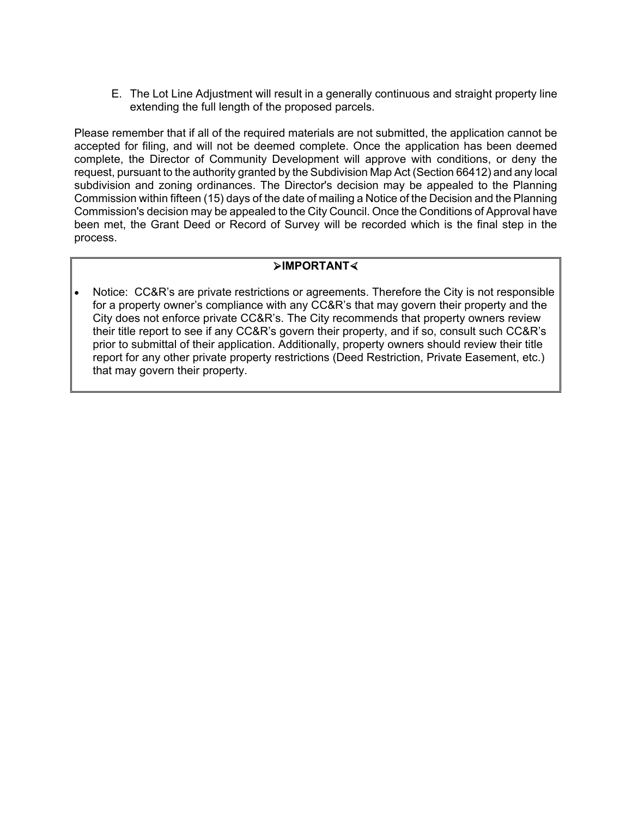E. The Lot Line Adjustment will result in a generally continuous and straight property line extending the full length of the proposed parcels.

Please remember that if all of the required materials are not submitted, the application cannot be accepted for filing, and will not be deemed complete. Once the application has been deemed complete, the Director of Community Development will approve with conditions, or deny the request, pursuant to the authority granted by the Subdivision Map Act (Section 66412) and any local subdivision and zoning ordinances. The Director's decision may be appealed to the Planning Commission within fifteen (15) days of the date of mailing a Notice of the Decision and the Planning Commission's decision may be appealed to the City Council. Once the Conditions of Approval have been met, the Grant Deed or Record of Survey will be recorded which is the final step in the process.

## **IMPORTANT**

 Notice: CC&R's are private restrictions or agreements. Therefore the City is not responsible for a property owner's compliance with any CC&R's that may govern their property and the City does not enforce private CC&R's. The City recommends that property owners review their title report to see if any CC&R's govern their property, and if so, consult such CC&R's prior to submittal of their application. Additionally, property owners should review their title report for any other private property restrictions (Deed Restriction, Private Easement, etc.) that may govern their property.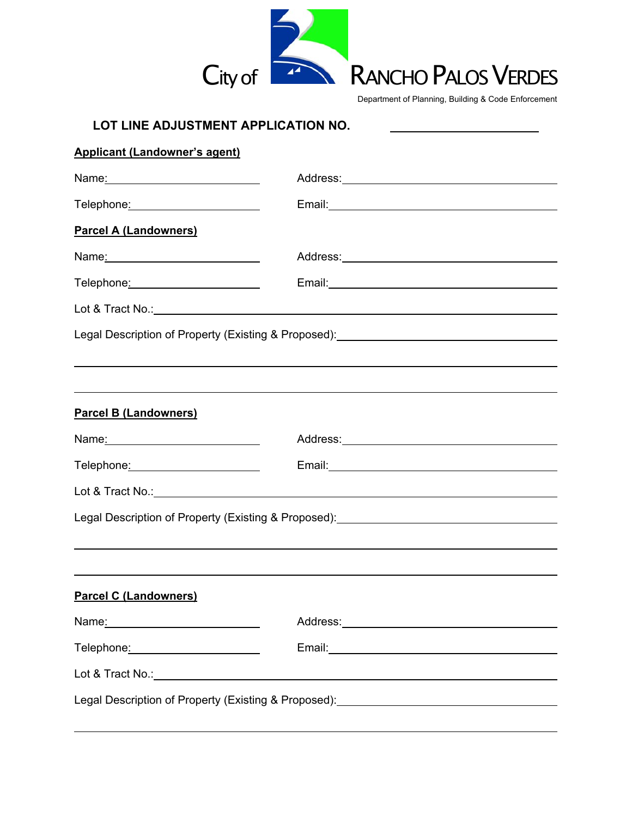

Department of Planning, Building & Code Enforcement

| LOT LINE ADJUSTMENT APPLICATION NO.                                                                                                                                                                                           |                                                                                                      |  |  |  |  |
|-------------------------------------------------------------------------------------------------------------------------------------------------------------------------------------------------------------------------------|------------------------------------------------------------------------------------------------------|--|--|--|--|
| <b>Applicant (Landowner's agent)</b>                                                                                                                                                                                          |                                                                                                      |  |  |  |  |
| Name <u>:</u> 2008 2009 2012 2022 2023 2024 2022 2022 2023 2024 2022 2023 2024 2022 2023 2024 2022 2023 2024 2025 2026 20                                                                                                     | Address: Address: Address: Address: Address: Address: Address: Address: Address: Address: Address: A |  |  |  |  |
| Telephone <u>: ____________________</u> _                                                                                                                                                                                     |                                                                                                      |  |  |  |  |
| <b>Parcel A (Landowners)</b>                                                                                                                                                                                                  |                                                                                                      |  |  |  |  |
| Name: Name and All Albert Manual Albert Manual Albert Manual Albert Manual Albert Manual Albert Manual Albert Manual Albert Manual Albert Manual Albert Manual Albert Manual Albert Manual Albert Manual Albert Manual Albert | Address: Andreas Address: Address: Address: Address: Address: Address: Address: Address: Address: A  |  |  |  |  |
|                                                                                                                                                                                                                               |                                                                                                      |  |  |  |  |
|                                                                                                                                                                                                                               |                                                                                                      |  |  |  |  |
| Legal Description of Property (Existing & Proposed): [1991] [2012] [2012] [2012] [2012] [2012] [2012] [2012] [                                                                                                                |                                                                                                      |  |  |  |  |
|                                                                                                                                                                                                                               |                                                                                                      |  |  |  |  |
|                                                                                                                                                                                                                               |                                                                                                      |  |  |  |  |
| <b>Parcel B (Landowners)</b>                                                                                                                                                                                                  |                                                                                                      |  |  |  |  |
|                                                                                                                                                                                                                               |                                                                                                      |  |  |  |  |
| Telephone: Telephone:                                                                                                                                                                                                         |                                                                                                      |  |  |  |  |
|                                                                                                                                                                                                                               |                                                                                                      |  |  |  |  |
| Legal Description of Property (Existing & Proposed): [2001] [2012] [2012] [2012] [2012] [2012] [2012] [2012] [                                                                                                                |                                                                                                      |  |  |  |  |
|                                                                                                                                                                                                                               |                                                                                                      |  |  |  |  |
|                                                                                                                                                                                                                               |                                                                                                      |  |  |  |  |
| <b>Parcel C (Landowners)</b>                                                                                                                                                                                                  |                                                                                                      |  |  |  |  |
|                                                                                                                                                                                                                               |                                                                                                      |  |  |  |  |
|                                                                                                                                                                                                                               |                                                                                                      |  |  |  |  |
|                                                                                                                                                                                                                               |                                                                                                      |  |  |  |  |
|                                                                                                                                                                                                                               |                                                                                                      |  |  |  |  |

 $\overline{a}$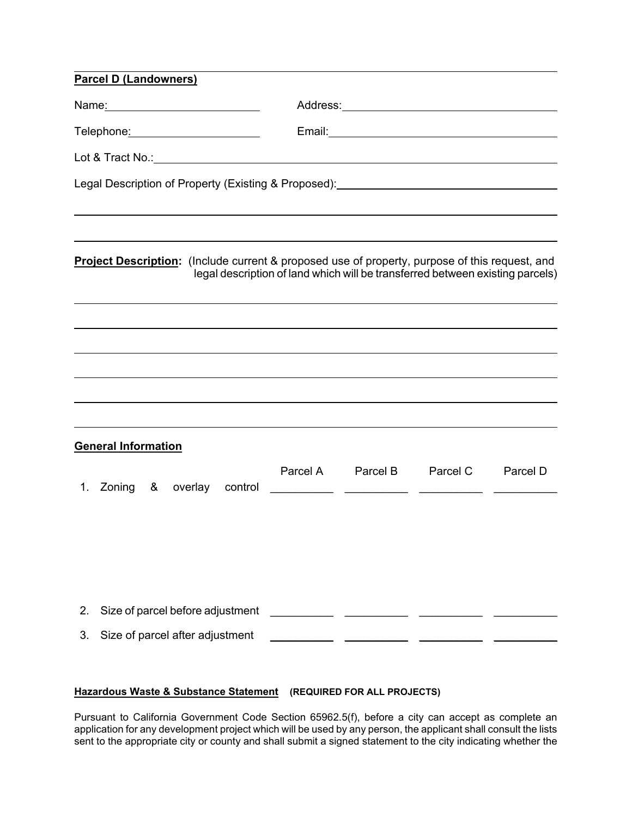| <b>Parcel D (Landowners)</b> |                                 |                                             |  |          |          |                                                                                                                                                                                 |          |  |
|------------------------------|---------------------------------|---------------------------------------------|--|----------|----------|---------------------------------------------------------------------------------------------------------------------------------------------------------------------------------|----------|--|
|                              |                                 |                                             |  |          |          |                                                                                                                                                                                 |          |  |
|                              |                                 | Telephone <u>: ____________________</u> ___ |  |          |          |                                                                                                                                                                                 |          |  |
|                              |                                 |                                             |  |          |          |                                                                                                                                                                                 |          |  |
|                              |                                 |                                             |  |          |          | Legal Description of Property (Existing & Proposed): [2001] [2002] [2002] [2002] [2003] [2002] [2003] [2003] [                                                                  |          |  |
|                              |                                 |                                             |  |          |          |                                                                                                                                                                                 |          |  |
|                              |                                 |                                             |  |          |          | Project Description: (Include current & proposed use of property, purpose of this request, and<br>legal description of land which will be transferred between existing parcels) |          |  |
|                              |                                 |                                             |  |          |          |                                                                                                                                                                                 |          |  |
|                              |                                 |                                             |  |          |          |                                                                                                                                                                                 |          |  |
|                              |                                 |                                             |  |          |          |                                                                                                                                                                                 |          |  |
|                              |                                 |                                             |  |          |          |                                                                                                                                                                                 |          |  |
| <b>General Information</b>   |                                 |                                             |  |          |          |                                                                                                                                                                                 |          |  |
|                              |                                 | 1. Zoning & overlay control                 |  | Parcel A | Parcel B | Parcel C                                                                                                                                                                        | Parcel D |  |
|                              |                                 |                                             |  |          |          |                                                                                                                                                                                 |          |  |
|                              |                                 |                                             |  |          |          |                                                                                                                                                                                 |          |  |
| 2.                           |                                 | Size of parcel before adjustment            |  |          |          |                                                                                                                                                                                 |          |  |
| 3.                           | Size of parcel after adjustment |                                             |  |          |          |                                                                                                                                                                                 |          |  |

## **Hazardous Waste & Substance Statement (REQUIRED FOR ALL PROJECTS)**

Pursuant to California Government Code Section 65962.5(f), before a city can accept as complete an application for any development project which will be used by any person, the applicant shall consult the lists sent to the appropriate city or county and shall submit a signed statement to the city indicating whether the